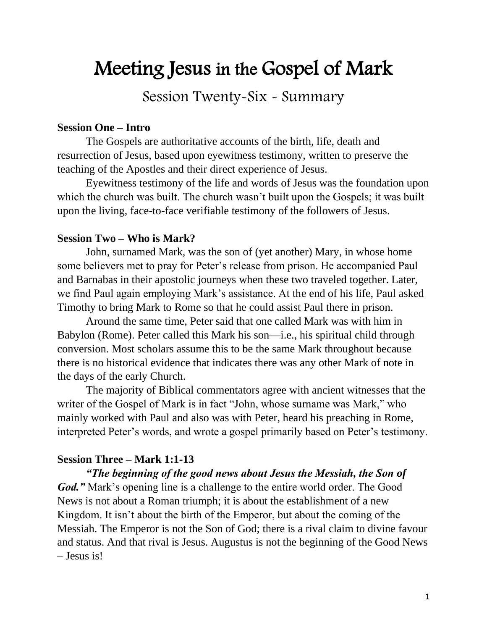# Meeting Jesus in the Gospel of Mark

Session Twenty-Six - Summary

## **Session One – Intro**

The Gospels are authoritative accounts of the birth, life, death and resurrection of Jesus, based upon eyewitness testimony, written to preserve the teaching of the Apostles and their direct experience of Jesus.

Eyewitness testimony of the life and words of Jesus was the foundation upon which the church was built. The church wasn't built upon the Gospels; it was built upon the living, face-to-face verifiable testimony of the followers of Jesus.

# **Session Two – Who is Mark?**

John, surnamed Mark, was the son of (yet another) Mary, in whose home some believers met to pray for Peter's release from prison. He accompanied Paul and Barnabas in their apostolic journeys when these two traveled together. Later, we find Paul again employing Mark's assistance. At the end of his life, Paul asked Timothy to bring Mark to Rome so that he could assist Paul there in prison.

Around the same time, Peter said that one called Mark was with him in Babylon (Rome). Peter called this Mark his son—i.e., his spiritual child through conversion. Most scholars assume this to be the same Mark throughout because there is no historical evidence that indicates there was any other Mark of note in the days of the early Church.

The majority of Biblical commentators agree with ancient witnesses that the writer of the Gospel of Mark is in fact "John, whose surname was Mark," who mainly worked with Paul and also was with Peter, heard his preaching in Rome, interpreted Peter's words, and wrote a gospel primarily based on Peter's testimony.

# **Session Three – Mark 1:1-13**

*"The beginning of the good news about Jesus the Messiah, the Son of God."* Mark's opening line is a challenge to the entire world order. The Good News is not about a Roman triumph; it is about the establishment of a new Kingdom. It isn't about the birth of the Emperor, but about the coming of the Messiah. The Emperor is not the Son of God; there is a rival claim to divine favour and status. And that rival is Jesus. Augustus is not the beginning of the Good News – Jesus is!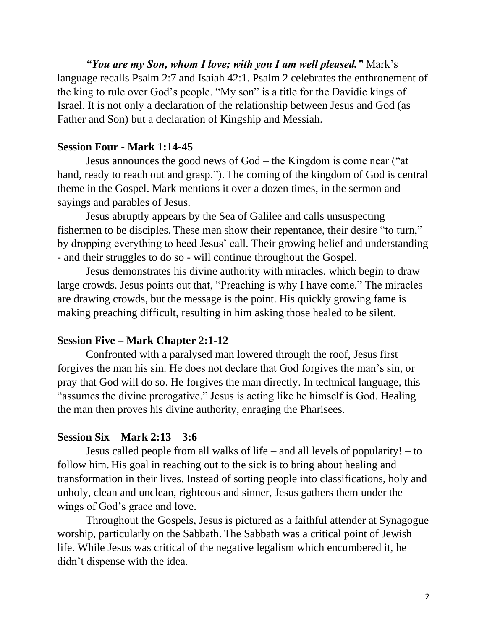*"You are my Son, whom I love; with you I am well pleased."* Mark's language recalls Psalm 2:7 and Isaiah 42:1. Psalm 2 celebrates the enthronement of the king to rule over God's people. "My son" is a title for the Davidic kings of Israel. It is not only a declaration of the relationship between Jesus and God (as Father and Son) but a declaration of Kingship and Messiah.

# **Session Four - Mark 1:14-45**

Jesus announces the good news of God – the Kingdom is come near ("at hand, ready to reach out and grasp."). The coming of the kingdom of God is central theme in the Gospel. Mark mentions it over a dozen times, in the sermon and sayings and parables of Jesus.

Jesus abruptly appears by the Sea of Galilee and calls unsuspecting fishermen to be disciples. These men show their repentance, their desire "to turn," by dropping everything to heed Jesus' call. Their growing belief and understanding - and their struggles to do so - will continue throughout the Gospel.

Jesus demonstrates his divine authority with miracles, which begin to draw large crowds. Jesus points out that, "Preaching is why I have come." The miracles are drawing crowds, but the message is the point. His quickly growing fame is making preaching difficult, resulting in him asking those healed to be silent.

# **Session Five – Mark Chapter 2:1-12**

Confronted with a paralysed man lowered through the roof, Jesus first forgives the man his sin. He does not declare that God forgives the man's sin, or pray that God will do so. He forgives the man directly. In technical language, this "assumes the divine prerogative." Jesus is acting like he himself is God. Healing the man then proves his divine authority, enraging the Pharisees.

# **Session Six – Mark 2:13 – 3:6**

Jesus called people from all walks of life – and all levels of popularity! – to follow him. His goal in reaching out to the sick is to bring about healing and transformation in their lives. Instead of sorting people into classifications, holy and unholy, clean and unclean, righteous and sinner, Jesus gathers them under the wings of God's grace and love.

Throughout the Gospels, Jesus is pictured as a faithful attender at Synagogue worship, particularly on the Sabbath. The Sabbath was a critical point of Jewish life. While Jesus was critical of the negative legalism which encumbered it, he didn't dispense with the idea.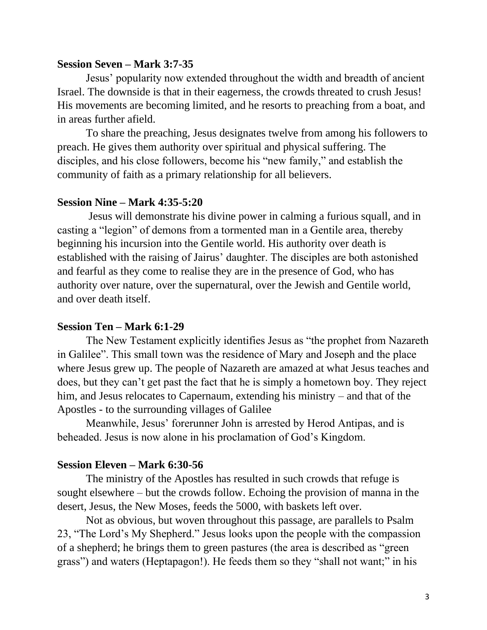#### **Session Seven – Mark 3:7-35**

Jesus' popularity now extended throughout the width and breadth of ancient Israel. The downside is that in their eagerness, the crowds threated to crush Jesus! His movements are becoming limited, and he resorts to preaching from a boat, and in areas further afield.

To share the preaching, Jesus designates twelve from among his followers to preach. He gives them authority over spiritual and physical suffering. The disciples, and his close followers, become his "new family," and establish the community of faith as a primary relationship for all believers.

#### **Session Nine – Mark 4:35-5:20**

Jesus will demonstrate his divine power in calming a furious squall, and in casting a "legion" of demons from a tormented man in a Gentile area, thereby beginning his incursion into the Gentile world. His authority over death is established with the raising of Jairus' daughter. The disciples are both astonished and fearful as they come to realise they are in the presence of God, who has authority over nature, over the supernatural, over the Jewish and Gentile world, and over death itself.

#### **Session Ten – Mark 6:1-29**

The New Testament explicitly identifies Jesus as "the prophet from Nazareth in Galilee". This small town was the residence of Mary and Joseph and the place where Jesus grew up. The people of Nazareth are amazed at what Jesus teaches and does, but they can't get past the fact that he is simply a hometown boy. They reject him, and Jesus relocates to Capernaum, extending his ministry – and that of the Apostles - to the surrounding villages of Galilee

Meanwhile, Jesus' forerunner John is arrested by Herod Antipas, and is beheaded. Jesus is now alone in his proclamation of God's Kingdom.

#### **Session Eleven – Mark 6:30-56**

The ministry of the Apostles has resulted in such crowds that refuge is sought elsewhere – but the crowds follow. Echoing the provision of manna in the desert, Jesus, the New Moses, feeds the 5000, with baskets left over.

Not as obvious, but woven throughout this passage, are parallels to Psalm 23, "The Lord's My Shepherd." Jesus looks upon the people with the compassion of a shepherd; he brings them to green pastures (the area is described as "green grass") and waters (Heptapagon!). He feeds them so they "shall not want;" in his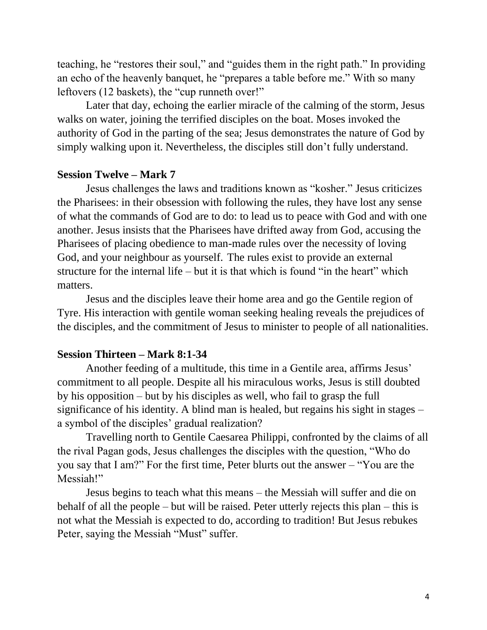teaching, he "restores their soul," and "guides them in the right path." In providing an echo of the heavenly banquet, he "prepares a table before me." With so many leftovers (12 baskets), the "cup runneth over!"

Later that day, echoing the earlier miracle of the calming of the storm, Jesus walks on water, joining the terrified disciples on the boat. Moses invoked the authority of God in the parting of the sea; Jesus demonstrates the nature of God by simply walking upon it. Nevertheless, the disciples still don't fully understand.

## **Session Twelve – Mark 7**

Jesus challenges the laws and traditions known as "kosher." Jesus criticizes the Pharisees: in their obsession with following the rules, they have lost any sense of what the commands of God are to do: to lead us to peace with God and with one another. Jesus insists that the Pharisees have drifted away from God, accusing the Pharisees of placing obedience to man-made rules over the necessity of loving God, and your neighbour as yourself. The rules exist to provide an external structure for the internal life – but it is that which is found "in the heart" which matters.

Jesus and the disciples leave their home area and go the Gentile region of Tyre. His interaction with gentile woman seeking healing reveals the prejudices of the disciples, and the commitment of Jesus to minister to people of all nationalities.

#### **Session Thirteen – Mark 8:1-34**

Another feeding of a multitude, this time in a Gentile area, affirms Jesus' commitment to all people. Despite all his miraculous works, Jesus is still doubted by his opposition – but by his disciples as well, who fail to grasp the full significance of his identity. A blind man is healed, but regains his sight in stages – a symbol of the disciples' gradual realization?

Travelling north to Gentile Caesarea Philippi, confronted by the claims of all the rival Pagan gods, Jesus challenges the disciples with the question, "Who do you say that I am?" For the first time, Peter blurts out the answer – "You are the Messiah!"

Jesus begins to teach what this means – the Messiah will suffer and die on behalf of all the people – but will be raised. Peter utterly rejects this plan – this is not what the Messiah is expected to do, according to tradition! But Jesus rebukes Peter, saying the Messiah "Must" suffer.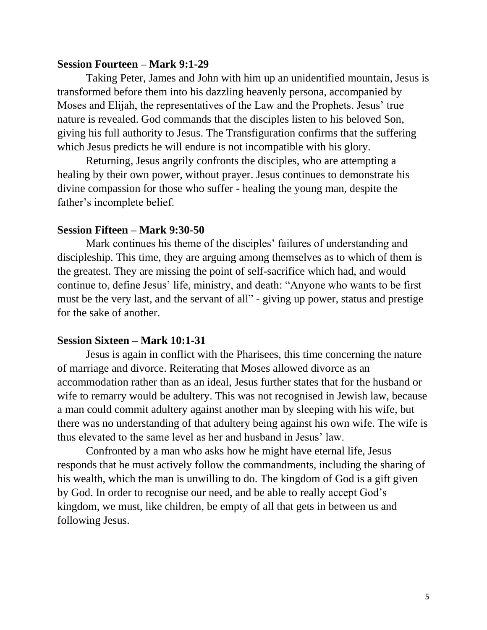#### **Session Fourteen – Mark 9:1-29**

Taking Peter, James and John with him up an unidentified mountain, Jesus is transformed before them into his dazzling heavenly persona, accompanied by Moses and Elijah, the representatives of the Law and the Prophets. Jesus' true nature is revealed. God commands that the disciples listen to his beloved Son, giving his full authority to Jesus. The Transfiguration confirms that the suffering which Jesus predicts he will endure is not incompatible with his glory.

Returning, Jesus angrily confronts the disciples, who are attempting a healing by their own power, without prayer. Jesus continues to demonstrate his divine compassion for those who suffer - healing the young man, despite the father's incomplete belief.

#### **Session Fifteen – Mark 9:30-50**

Mark continues his theme of the disciples' failures of understanding and discipleship. This time, they are arguing among themselves as to which of them is the greatest. They are missing the point of self-sacrifice which had, and would continue to, define Jesus' life, ministry, and death: "Anyone who wants to be first must be the very last, and the servant of all" - giving up power, status and prestige for the sake of another.

#### **Session Sixteen – Mark 10:1-31**

Jesus is again in conflict with the Pharisees, this time concerning the nature of marriage and divorce. Reiterating that Moses allowed divorce as an accommodation rather than as an ideal, Jesus further states that for the husband or wife to remarry would be adultery. This was not recognised in Jewish law, because a man could commit adultery against another man by sleeping with his wife, but there was no understanding of that adultery being against his own wife. The wife is thus elevated to the same level as her and husband in Jesus' law.

Confronted by a man who asks how he might have eternal life, Jesus responds that he must actively follow the commandments, including the sharing of his wealth, which the man is unwilling to do. The kingdom of God is a gift given by God. In order to recognise our need, and be able to really accept God's kingdom, we must, like children, be empty of all that gets in between us and following Jesus.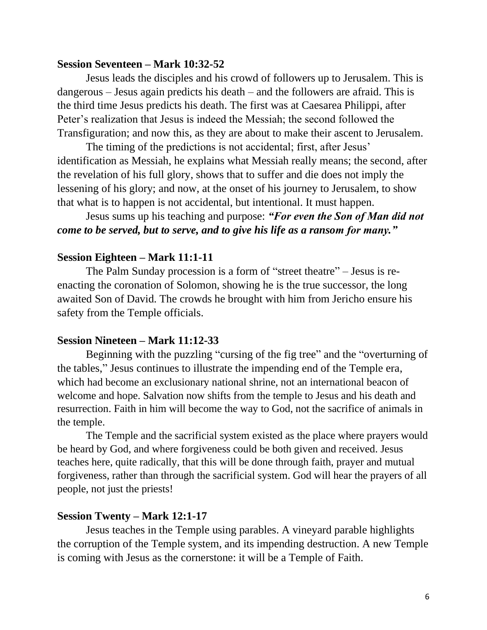#### **Session Seventeen – Mark 10:32-52**

Jesus leads the disciples and his crowd of followers up to Jerusalem. This is dangerous – Jesus again predicts his death – and the followers are afraid. This is the third time Jesus predicts his death. The first was at Caesarea Philippi, after Peter's realization that Jesus is indeed the Messiah; the second followed the Transfiguration; and now this, as they are about to make their ascent to Jerusalem.

The timing of the predictions is not accidental; first, after Jesus' identification as Messiah, he explains what Messiah really means; the second, after the revelation of his full glory, shows that to suffer and die does not imply the lessening of his glory; and now, at the onset of his journey to Jerusalem, to show that what is to happen is not accidental, but intentional. It must happen.

# Jesus sums up his teaching and purpose: *"For even the Son of Man did not come to be served, but to serve, and to give his life as a ransom for many."*

## **Session Eighteen – Mark 11:1-11**

The Palm Sunday procession is a form of "street theatre" – Jesus is reenacting the coronation of Solomon, showing he is the true successor, the long awaited Son of David. The crowds he brought with him from Jericho ensure his safety from the Temple officials.

#### **Session Nineteen – Mark 11:12-33**

Beginning with the puzzling "cursing of the fig tree" and the "overturning of the tables," Jesus continues to illustrate the impending end of the Temple era, which had become an exclusionary national shrine, not an international beacon of welcome and hope. Salvation now shifts from the temple to Jesus and his death and resurrection. Faith in him will become the way to God, not the sacrifice of animals in the temple.

The Temple and the sacrificial system existed as the place where prayers would be heard by God, and where forgiveness could be both given and received. Jesus teaches here, quite radically, that this will be done through faith, prayer and mutual forgiveness, rather than through the sacrificial system. God will hear the prayers of all people, not just the priests!

#### **Session Twenty – Mark 12:1-17**

Jesus teaches in the Temple using parables. A vineyard parable highlights the corruption of the Temple system, and its impending destruction. A new Temple is coming with Jesus as the cornerstone: it will be a Temple of Faith.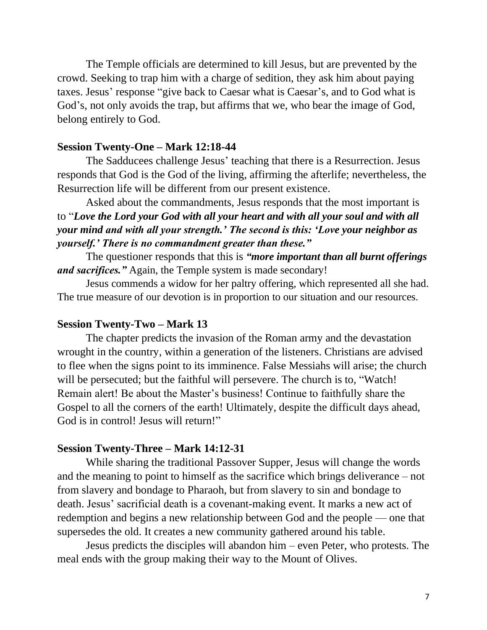The Temple officials are determined to kill Jesus, but are prevented by the crowd. Seeking to trap him with a charge of sedition, they ask him about paying taxes. Jesus' response "give back to Caesar what is Caesar's, and to God what is God's, not only avoids the trap, but affirms that we, who bear the image of God, belong entirely to God.

#### **Session Twenty-One – Mark 12:18-44**

The Sadducees challenge Jesus' teaching that there is a Resurrection. Jesus responds that God is the God of the living, affirming the afterlife; nevertheless, the Resurrection life will be different from our present existence.

Asked about the commandments, Jesus responds that the most important is to "*Love the Lord your God with all your heart and with all your soul and with all your mind and with all your strength.' The second is this: 'Love your neighbor as yourself.' There is no commandment greater than these."*

The questioner responds that this is *"more important than all burnt offerings and sacrifices."* Again, the Temple system is made secondary!

Jesus commends a widow for her paltry offering, which represented all she had. The true measure of our devotion is in proportion to our situation and our resources.

#### **Session Twenty-Two – Mark 13**

The chapter predicts the invasion of the Roman army and the devastation wrought in the country, within a generation of the listeners. Christians are advised to flee when the signs point to its imminence. False Messiahs will arise; the church will be persecuted; but the faithful will persevere. The church is to, "Watch! Remain alert! Be about the Master's business! Continue to faithfully share the Gospel to all the corners of the earth! Ultimately, despite the difficult days ahead, God is in control! Jesus will return!"

#### **Session Twenty-Three – Mark 14:12-31**

While sharing the traditional Passover Supper, Jesus will change the words and the meaning to point to himself as the sacrifice which brings deliverance – not from slavery and bondage to Pharaoh, but from slavery to sin and bondage to death. Jesus' sacrificial death is a covenant-making event. It marks a new act of redemption and begins a new relationship between God and the people — one that supersedes the old. It creates a new community gathered around his table.

Jesus predicts the disciples will abandon him – even Peter, who protests. The meal ends with the group making their way to the Mount of Olives.